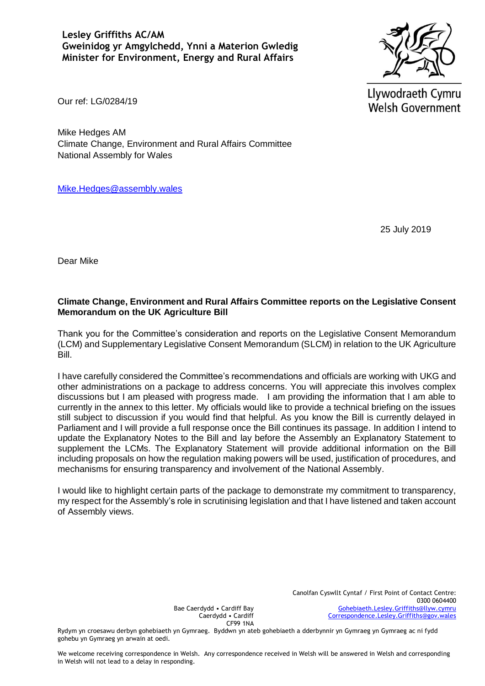**Lesley Griffiths AC/AM Gweinidog yr Amgylchedd, Ynni a Materion Gwledig Minister for Environment, Energy and Rural Affairs** 



Llywodraeth Cymru **Welsh Government** 

Our ref: LG/0284/19

Mike Hedges AM Climate Change, Environment and Rural Affairs Committee National Assembly for Wales

[Mike.Hedges@assembly.wales](mailto:Mike.Hedges@assembly.wales)

25 July 2019

Dear Mike

# **Climate Change, Environment and Rural Affairs Committee reports on the Legislative Consent Memorandum on the UK Agriculture Bill**

Thank you for the Committee's consideration and reports on the Legislative Consent Memorandum (LCM) and Supplementary Legislative Consent Memorandum (SLCM) in relation to the UK Agriculture Bill.

I have carefully considered the Committee's recommendations and officials are working with UKG and other administrations on a package to address concerns. You will appreciate this involves complex discussions but I am pleased with progress made. I am providing the information that I am able to currently in the annex to this letter. My officials would like to provide a technical briefing on the issues still subject to discussion if you would find that helpful. As you know the Bill is currently delayed in Parliament and I will provide a full response once the Bill continues its passage. In addition I intend to update the Explanatory Notes to the Bill and lay before the Assembly an Explanatory Statement to supplement the LCMs. The Explanatory Statement will provide additional information on the Bill including proposals on how the regulation making powers will be used, justification of procedures, and mechanisms for ensuring transparency and involvement of the National Assembly.

I would like to highlight certain parts of the package to demonstrate my commitment to transparency, my respect for the Assembly's role in scrutinising legislation and that I have listened and taken account of Assembly views.

> Canolfan Cyswllt Cyntaf / First Point of Contact Centre: 0300 0604400 [Gohebiaeth.Lesley.Griffiths@llyw.cymru](mailto:Gohebiaeth.Lesley.Griffiths@llyw.cymru) [Correspondence.Lesley.Griffiths@gov.wales](mailto:Correspondence.Lesley.Griffiths@gov.wales)

Bae Caerdydd • Cardiff Bay Caerdydd • Cardiff CF99 1NA

Rydym yn croesawu derbyn gohebiaeth yn Gymraeg. Byddwn yn ateb gohebiaeth a dderbynnir yn Gymraeg yn Gymraeg ac ni fydd gohebu yn Gymraeg yn arwain at oedi.

We welcome receiving correspondence in Welsh. Any correspondence received in Welsh will be answered in Welsh and corresponding in Welsh will not lead to a delay in responding.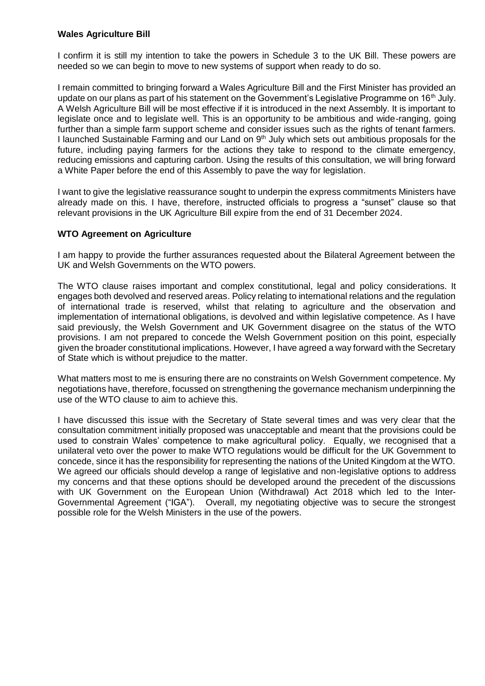### **Wales Agriculture Bill**

I confirm it is still my intention to take the powers in Schedule 3 to the UK Bill. These powers are needed so we can begin to move to new systems of support when ready to do so.

I remain committed to bringing forward a Wales Agriculture Bill and the First Minister has provided an update on our plans as part of his statement on the Government's Legislative Programme on 16<sup>th</sup> July. A Welsh Agriculture Bill will be most effective if it is introduced in the next Assembly. It is important to legislate once and to legislate well. This is an opportunity to be ambitious and wide-ranging, going further than a simple farm support scheme and consider issues such as the rights of tenant farmers. I launched Sustainable Farming and our Land on  $9<sup>th</sup>$  July which sets out ambitious proposals for the future, including paying farmers for the actions they take to respond to the climate emergency, reducing emissions and capturing carbon. Using the results of this consultation, we will bring forward a White Paper before the end of this Assembly to pave the way for legislation.

I want to give the legislative reassurance sought to underpin the express commitments Ministers have already made on this. I have, therefore, instructed officials to progress a "sunset" clause so that relevant provisions in the UK Agriculture Bill expire from the end of 31 December 2024.

#### **WTO Agreement on Agriculture**

I am happy to provide the further assurances requested about the Bilateral Agreement between the UK and Welsh Governments on the WTO powers.

The WTO clause raises important and complex constitutional, legal and policy considerations. It engages both devolved and reserved areas. Policy relating to international relations and the regulation of international trade is reserved, whilst that relating to agriculture and the observation and implementation of international obligations, is devolved and within legislative competence. As I have said previously, the Welsh Government and UK Government disagree on the status of the WTO provisions. I am not prepared to concede the Welsh Government position on this point, especially given the broader constitutional implications. However, I have agreed a way forward with the Secretary of State which is without prejudice to the matter.

What matters most to me is ensuring there are no constraints on Welsh Government competence. My negotiations have, therefore, focussed on strengthening the governance mechanism underpinning the use of the WTO clause to aim to achieve this.

I have discussed this issue with the Secretary of State several times and was very clear that the consultation commitment initially proposed was unacceptable and meant that the provisions could be used to constrain Wales' competence to make agricultural policy. Equally, we recognised that a unilateral veto over the power to make WTO regulations would be difficult for the UK Government to concede, since it has the responsibility for representing the nations of the United Kingdom at the WTO. We agreed our officials should develop a range of legislative and non-legislative options to address my concerns and that these options should be developed around the precedent of the discussions with UK Government on the European Union (Withdrawal) Act 2018 which led to the Inter-Governmental Agreement ("IGA"). Overall, my negotiating objective was to secure the strongest possible role for the Welsh Ministers in the use of the powers.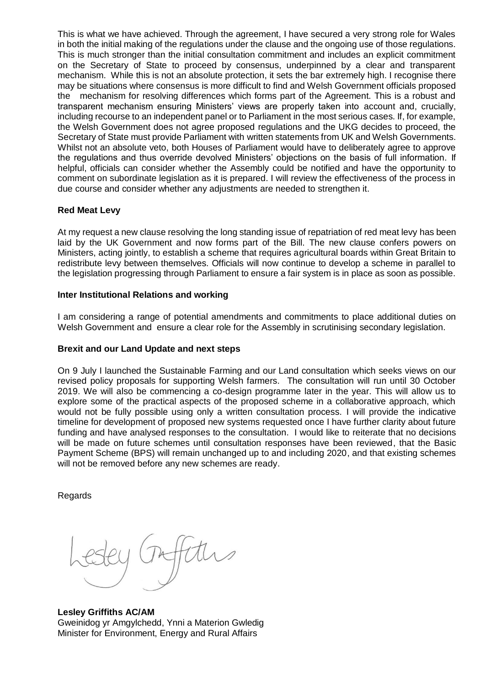This is what we have achieved. Through the agreement, I have secured a very strong role for Wales in both the initial making of the regulations under the clause and the ongoing use of those regulations. This is much stronger than the initial consultation commitment and includes an explicit commitment on the Secretary of State to proceed by consensus, underpinned by a clear and transparent mechanism. While this is not an absolute protection, it sets the bar extremely high. I recognise there may be situations where consensus is more difficult to find and Welsh Government officials proposed the mechanism for resolving differences which forms part of the Agreement. This is a robust and transparent mechanism ensuring Ministers' views are properly taken into account and, crucially, including recourse to an independent panel or to Parliament in the most serious cases. If, for example, the Welsh Government does not agree proposed regulations and the UKG decides to proceed, the Secretary of State must provide Parliament with written statements from UK and Welsh Governments. Whilst not an absolute veto, both Houses of Parliament would have to deliberately agree to approve the regulations and thus override devolved Ministers' objections on the basis of full information. If helpful, officials can consider whether the Assembly could be notified and have the opportunity to comment on subordinate legislation as it is prepared. I will review the effectiveness of the process in due course and consider whether any adjustments are needed to strengthen it.

# **Red Meat Levy**

At my request a new clause resolving the long standing issue of repatriation of red meat levy has been laid by the UK Government and now forms part of the Bill. The new clause confers powers on Ministers, acting jointly, to establish a scheme that requires agricultural boards within Great Britain to redistribute levy between themselves. Officials will now continue to develop a scheme in parallel to the legislation progressing through Parliament to ensure a fair system is in place as soon as possible.

# **Inter Institutional Relations and working**

I am considering a range of potential amendments and commitments to place additional duties on Welsh Government and ensure a clear role for the Assembly in scrutinising secondary legislation.

# **Brexit and our Land Update and next steps**

On 9 July I launched the Sustainable Farming and our Land consultation which seeks views on our revised policy proposals for supporting Welsh farmers. The consultation will run until 30 October 2019. We will also be commencing a co-design programme later in the year. This will allow us to explore some of the practical aspects of the proposed scheme in a collaborative approach, which would not be fully possible using only a written consultation process. I will provide the indicative timeline for development of proposed new systems requested once I have further clarity about future funding and have analysed responses to the consultation. I would like to reiterate that no decisions will be made on future schemes until consultation responses have been reviewed, that the Basic Payment Scheme (BPS) will remain unchanged up to and including 2020, and that existing schemes will not be removed before any new schemes are ready.

Regards

**Lesley Griffiths AC/AM** Gweinidog yr Amgylchedd, Ynni a Materion Gwledig Minister for Environment, Energy and Rural Affairs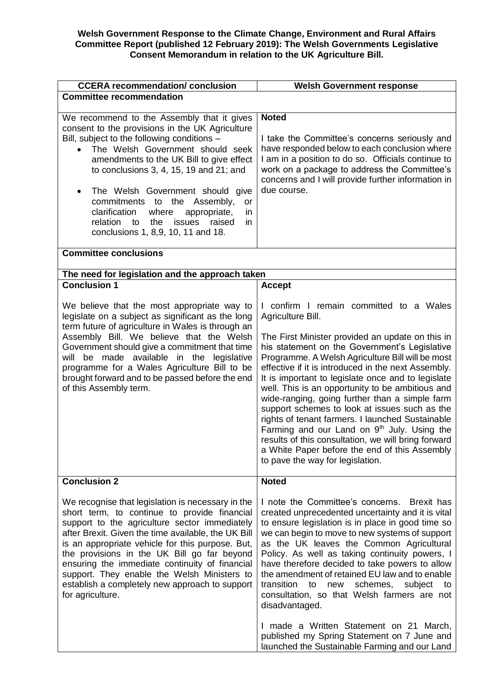#### **Welsh Government Response to the Climate Change, Environment and Rural Affairs Committee Report (published 12 February 2019): The Welsh Governments Legislative Consent Memorandum in relation to the UK Agriculture Bill.**

| <b>CCERA recommendation/ conclusion</b>                                                                                                                                                                                                                                                                                                                                                                                                                                                                   | <b>Welsh Government response</b>                                                                                                                                                                                                                                                                                                                                                                                                                                                                                                                                                                                                                                                                                                           |
|-----------------------------------------------------------------------------------------------------------------------------------------------------------------------------------------------------------------------------------------------------------------------------------------------------------------------------------------------------------------------------------------------------------------------------------------------------------------------------------------------------------|--------------------------------------------------------------------------------------------------------------------------------------------------------------------------------------------------------------------------------------------------------------------------------------------------------------------------------------------------------------------------------------------------------------------------------------------------------------------------------------------------------------------------------------------------------------------------------------------------------------------------------------------------------------------------------------------------------------------------------------------|
| <b>Committee recommendation</b>                                                                                                                                                                                                                                                                                                                                                                                                                                                                           |                                                                                                                                                                                                                                                                                                                                                                                                                                                                                                                                                                                                                                                                                                                                            |
| We recommend to the Assembly that it gives<br>consent to the provisions in the UK Agriculture<br>Bill, subject to the following conditions -<br>The Welsh Government should seek<br>amendments to the UK Bill to give effect<br>to conclusions $3, 4, 15, 19$ and $21$ ; and<br>The Welsh Government should give<br>$\bullet$<br>commitments to the Assembly,<br>or<br>clarification<br>where<br>appropriate,<br>in<br>relation to<br>the<br>issues<br>raised<br>in<br>conclusions 1, 8,9, 10, 11 and 18. | <b>Noted</b><br>I take the Committee's concerns seriously and<br>have responded below to each conclusion where<br>I am in a position to do so. Officials continue to<br>work on a package to address the Committee's<br>concerns and I will provide further information in<br>due course.                                                                                                                                                                                                                                                                                                                                                                                                                                                  |
| <b>Committee conclusions</b>                                                                                                                                                                                                                                                                                                                                                                                                                                                                              |                                                                                                                                                                                                                                                                                                                                                                                                                                                                                                                                                                                                                                                                                                                                            |
| The need for legislation and the approach taken                                                                                                                                                                                                                                                                                                                                                                                                                                                           |                                                                                                                                                                                                                                                                                                                                                                                                                                                                                                                                                                                                                                                                                                                                            |
| <b>Conclusion 1</b>                                                                                                                                                                                                                                                                                                                                                                                                                                                                                       | <b>Accept</b>                                                                                                                                                                                                                                                                                                                                                                                                                                                                                                                                                                                                                                                                                                                              |
| We believe that the most appropriate way to<br>legislate on a subject as significant as the long<br>term future of agriculture in Wales is through an<br>Assembly Bill. We believe that the Welsh<br>Government should give a commitment that time<br>will be made available in the legislative<br>programme for a Wales Agriculture Bill to be<br>brought forward and to be passed before the end<br>of this Assembly term.                                                                              | I confirm I remain committed to a Wales<br>Agriculture Bill.<br>The First Minister provided an update on this in<br>his statement on the Government's Legislative<br>Programme. A Welsh Agriculture Bill will be most<br>effective if it is introduced in the next Assembly.<br>It is important to legislate once and to legislate<br>well. This is an opportunity to be ambitious and<br>wide-ranging, going further than a simple farm<br>support schemes to look at issues such as the<br>rights of tenant farmers. I launched Sustainable<br>Farming and our Land on $9th$ July. Using the<br>results of this consultation, we will bring forward<br>a White Paper before the end of this Assembly<br>to pave the way for legislation. |
| <b>Conclusion 2</b>                                                                                                                                                                                                                                                                                                                                                                                                                                                                                       | <b>Noted</b>                                                                                                                                                                                                                                                                                                                                                                                                                                                                                                                                                                                                                                                                                                                               |
| We recognise that legislation is necessary in the<br>short term, to continue to provide financial<br>support to the agriculture sector immediately<br>after Brexit. Given the time available, the UK Bill<br>is an appropriate vehicle for this purpose. But,<br>the provisions in the UK Bill go far beyond<br>ensuring the immediate continuity of financial<br>support. They enable the Welsh Ministers to<br>establish a completely new approach to support<br>for agriculture.                       | I note the Committee's concerns. Brexit has<br>created unprecedented uncertainty and it is vital<br>to ensure legislation is in place in good time so<br>we can begin to move to new systems of support<br>as the UK leaves the Common Agricultural<br>Policy. As well as taking continuity powers, I<br>have therefore decided to take powers to allow<br>the amendment of retained EU law and to enable<br>transition<br>to<br>new<br>schemes, subject<br>to<br>consultation, so that Welsh farmers are not<br>disadvantaged.<br>I made a Written Statement on 21 March,                                                                                                                                                                 |
|                                                                                                                                                                                                                                                                                                                                                                                                                                                                                                           | published my Spring Statement on 7 June and<br>launched the Sustainable Farming and our Land                                                                                                                                                                                                                                                                                                                                                                                                                                                                                                                                                                                                                                               |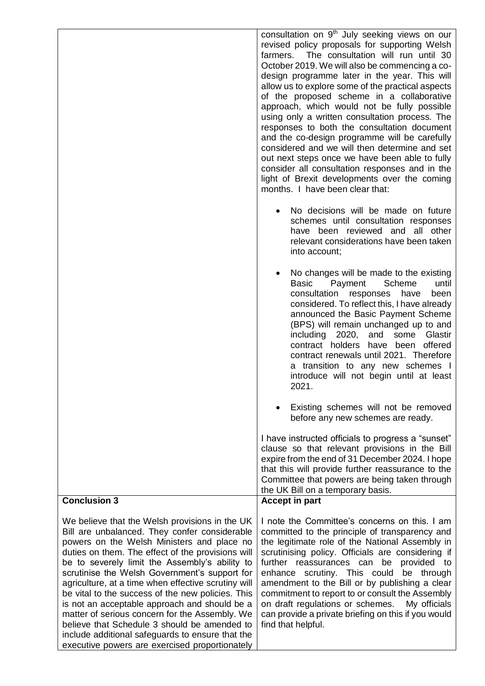|                                                                                                                                                                                                                                                                                                                                                                                                                                                                                                                                                                                                                                                                            | consultation on 9 <sup>th</sup> July seeking views on our<br>revised policy proposals for supporting Welsh<br>The consultation will run until 30<br>farmers.<br>October 2019. We will also be commencing a co-<br>design programme later in the year. This will<br>allow us to explore some of the practical aspects<br>of the proposed scheme in a collaborative<br>approach, which would not be fully possible<br>using only a written consultation process. The<br>responses to both the consultation document<br>and the co-design programme will be carefully<br>considered and we will then determine and set<br>out next steps once we have been able to fully<br>consider all consultation responses and in the<br>light of Brexit developments over the coming<br>months. I have been clear that: |
|----------------------------------------------------------------------------------------------------------------------------------------------------------------------------------------------------------------------------------------------------------------------------------------------------------------------------------------------------------------------------------------------------------------------------------------------------------------------------------------------------------------------------------------------------------------------------------------------------------------------------------------------------------------------------|------------------------------------------------------------------------------------------------------------------------------------------------------------------------------------------------------------------------------------------------------------------------------------------------------------------------------------------------------------------------------------------------------------------------------------------------------------------------------------------------------------------------------------------------------------------------------------------------------------------------------------------------------------------------------------------------------------------------------------------------------------------------------------------------------------|
|                                                                                                                                                                                                                                                                                                                                                                                                                                                                                                                                                                                                                                                                            | No decisions will be made on future<br>schemes until consultation responses<br>have been reviewed and all other<br>relevant considerations have been taken<br>into account;                                                                                                                                                                                                                                                                                                                                                                                                                                                                                                                                                                                                                                |
|                                                                                                                                                                                                                                                                                                                                                                                                                                                                                                                                                                                                                                                                            | No changes will be made to the existing<br>Scheme<br>Basic<br>Payment<br>until<br>consultation responses<br>have<br>been<br>considered. To reflect this, I have already<br>announced the Basic Payment Scheme<br>(BPS) will remain unchanged up to and<br>including 2020,<br>and<br>some<br>Glastir<br>contract holders<br>have<br>been<br>offered<br>contract renewals until 2021. Therefore<br>a transition to any new schemes I<br>introduce will not begin until at least<br>2021.                                                                                                                                                                                                                                                                                                                     |
|                                                                                                                                                                                                                                                                                                                                                                                                                                                                                                                                                                                                                                                                            | Existing schemes will not be removed<br>before any new schemes are ready.                                                                                                                                                                                                                                                                                                                                                                                                                                                                                                                                                                                                                                                                                                                                  |
|                                                                                                                                                                                                                                                                                                                                                                                                                                                                                                                                                                                                                                                                            | I have instructed officials to progress a "sunset"<br>clause so that relevant provisions in the Bill<br>expire from the end of 31 December 2024. I hope<br>that this will provide further reassurance to the<br>Committee that powers are being taken through<br>the UK Bill on a temporary basis.                                                                                                                                                                                                                                                                                                                                                                                                                                                                                                         |
| <b>Conclusion 3</b>                                                                                                                                                                                                                                                                                                                                                                                                                                                                                                                                                                                                                                                        | <b>Accept in part</b>                                                                                                                                                                                                                                                                                                                                                                                                                                                                                                                                                                                                                                                                                                                                                                                      |
| We believe that the Welsh provisions in the UK<br>Bill are unbalanced. They confer considerable<br>powers on the Welsh Ministers and place no<br>duties on them. The effect of the provisions will<br>be to severely limit the Assembly's ability to<br>scrutinise the Welsh Government's support for<br>agriculture, at a time when effective scrutiny will<br>be vital to the success of the new policies. This<br>is not an acceptable approach and should be a<br>matter of serious concern for the Assembly. We<br>believe that Schedule 3 should be amended to<br>include additional safeguards to ensure that the<br>executive powers are exercised proportionately | I note the Committee's concerns on this. I am<br>committed to the principle of transparency and<br>the legitimate role of the National Assembly in<br>scrutinising policy. Officials are considering if<br>further reassurances can be<br>provided to<br>enhance scrutiny. This could<br>be through<br>amendment to the Bill or by publishing a clear<br>commitment to report to or consult the Assembly<br>on draft regulations or schemes.<br>My officials<br>can provide a private briefing on this if you would<br>find that helpful.                                                                                                                                                                                                                                                                  |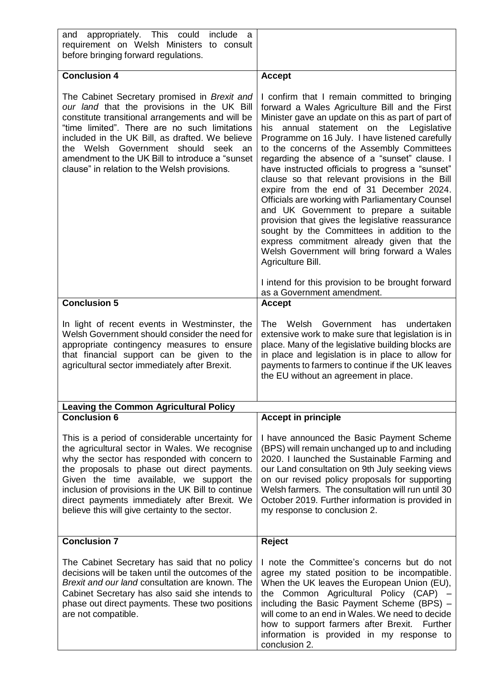| appropriately. This could<br>include<br>and<br>a<br>requirement on Welsh Ministers to consult<br>before bringing forward regulations.                                                                                                                                                                                                                                                                  |                                                                                                                                                                                                                                                                                                                                                                                                                                                                                                                                                                                                                                                                                                                                                                                                                            |
|--------------------------------------------------------------------------------------------------------------------------------------------------------------------------------------------------------------------------------------------------------------------------------------------------------------------------------------------------------------------------------------------------------|----------------------------------------------------------------------------------------------------------------------------------------------------------------------------------------------------------------------------------------------------------------------------------------------------------------------------------------------------------------------------------------------------------------------------------------------------------------------------------------------------------------------------------------------------------------------------------------------------------------------------------------------------------------------------------------------------------------------------------------------------------------------------------------------------------------------------|
| <b>Conclusion 4</b>                                                                                                                                                                                                                                                                                                                                                                                    | <b>Accept</b>                                                                                                                                                                                                                                                                                                                                                                                                                                                                                                                                                                                                                                                                                                                                                                                                              |
| The Cabinet Secretary promised in Brexit and<br>our land that the provisions in the UK Bill<br>constitute transitional arrangements and will be<br>"time limited". There are no such limitations<br>included in the UK Bill, as drafted. We believe<br>the Welsh Government should<br>seek<br>an<br>amendment to the UK Bill to introduce a "sunset<br>clause" in relation to the Welsh provisions.    | I confirm that I remain committed to bringing<br>forward a Wales Agriculture Bill and the First<br>Minister gave an update on this as part of part of<br>annual statement on the Legislative<br>his<br>Programme on 16 July. I have listened carefully<br>to the concerns of the Assembly Committees<br>regarding the absence of a "sunset" clause. I<br>have instructed officials to progress a "sunset"<br>clause so that relevant provisions in the Bill<br>expire from the end of 31 December 2024.<br>Officials are working with Parliamentary Counsel<br>and UK Government to prepare a suitable<br>provision that gives the legislative reassurance<br>sought by the Committees in addition to the<br>express commitment already given that the<br>Welsh Government will bring forward a Wales<br>Agriculture Bill. |
|                                                                                                                                                                                                                                                                                                                                                                                                        | I intend for this provision to be brought forward<br>as a Government amendment.                                                                                                                                                                                                                                                                                                                                                                                                                                                                                                                                                                                                                                                                                                                                            |
| <b>Conclusion 5</b>                                                                                                                                                                                                                                                                                                                                                                                    | <b>Accept</b>                                                                                                                                                                                                                                                                                                                                                                                                                                                                                                                                                                                                                                                                                                                                                                                                              |
| In light of recent events in Westminster, the<br>Welsh Government should consider the need for<br>appropriate contingency measures to ensure<br>that financial support can be given to the<br>agricultural sector immediately after Brexit.                                                                                                                                                            | Welsh<br>Government<br>undertaken<br>The<br>has<br>extensive work to make sure that legislation is in<br>place. Many of the legislative building blocks are<br>in place and legislation is in place to allow for<br>payments to farmers to continue if the UK leaves<br>the EU without an agreement in place.                                                                                                                                                                                                                                                                                                                                                                                                                                                                                                              |
| <b>Leaving the Common Agricultural Policy</b>                                                                                                                                                                                                                                                                                                                                                          |                                                                                                                                                                                                                                                                                                                                                                                                                                                                                                                                                                                                                                                                                                                                                                                                                            |
| <b>Conclusion 6</b>                                                                                                                                                                                                                                                                                                                                                                                    | <b>Accept in principle</b>                                                                                                                                                                                                                                                                                                                                                                                                                                                                                                                                                                                                                                                                                                                                                                                                 |
| This is a period of considerable uncertainty for<br>the agricultural sector in Wales. We recognise<br>why the sector has responded with concern to<br>the proposals to phase out direct payments.<br>Given the time available, we support the<br>inclusion of provisions in the UK Bill to continue<br>direct payments immediately after Brexit. We<br>believe this will give certainty to the sector. | I have announced the Basic Payment Scheme<br>(BPS) will remain unchanged up to and including<br>2020. I launched the Sustainable Farming and<br>our Land consultation on 9th July seeking views<br>on our revised policy proposals for supporting<br>Welsh farmers. The consultation will run until 30<br>October 2019. Further information is provided in<br>my response to conclusion 2.                                                                                                                                                                                                                                                                                                                                                                                                                                 |
| <b>Conclusion 7</b>                                                                                                                                                                                                                                                                                                                                                                                    | <b>Reject</b>                                                                                                                                                                                                                                                                                                                                                                                                                                                                                                                                                                                                                                                                                                                                                                                                              |
| The Cabinet Secretary has said that no policy<br>decisions will be taken until the outcomes of the<br>Brexit and our land consultation are known. The<br>Cabinet Secretary has also said she intends to<br>phase out direct payments. These two positions<br>are not compatible.                                                                                                                       | I note the Committee's concerns but do not<br>agree my stated position to be incompatible.<br>When the UK leaves the European Union (EU),<br>the Common Agricultural Policy (CAP) -<br>including the Basic Payment Scheme (BPS) -<br>will come to an end in Wales. We need to decide<br>how to support farmers after Brexit. Further<br>information is provided in my response to<br>conclusion 2.                                                                                                                                                                                                                                                                                                                                                                                                                         |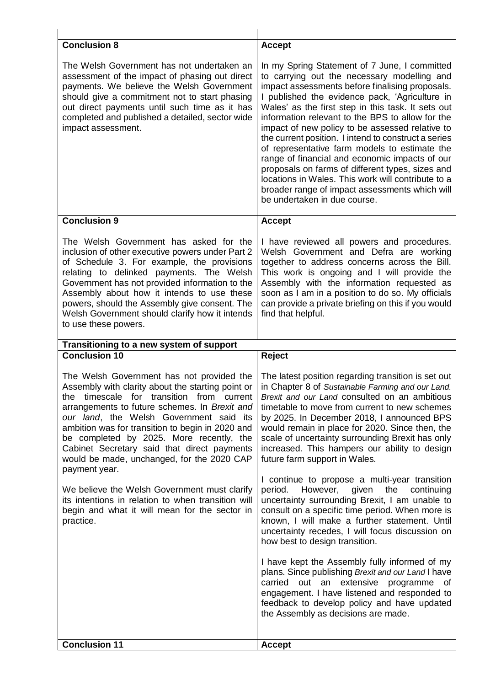| <b>Conclusion 8</b>                                                                                                                                                                                                                                                                                                                                                                                                                  | <b>Accept</b>                                                                                                                                                                                                                                                                                                                                                                                                                                                                                                                                                                                                                                                                                                         |
|--------------------------------------------------------------------------------------------------------------------------------------------------------------------------------------------------------------------------------------------------------------------------------------------------------------------------------------------------------------------------------------------------------------------------------------|-----------------------------------------------------------------------------------------------------------------------------------------------------------------------------------------------------------------------------------------------------------------------------------------------------------------------------------------------------------------------------------------------------------------------------------------------------------------------------------------------------------------------------------------------------------------------------------------------------------------------------------------------------------------------------------------------------------------------|
| The Welsh Government has not undertaken an<br>assessment of the impact of phasing out direct<br>payments. We believe the Welsh Government<br>should give a commitment not to start phasing<br>out direct payments until such time as it has<br>completed and published a detailed, sector wide<br>impact assessment.                                                                                                                 | In my Spring Statement of 7 June, I committed<br>to carrying out the necessary modelling and<br>impact assessments before finalising proposals.<br>I published the evidence pack, 'Agriculture in<br>Wales' as the first step in this task. It sets out<br>information relevant to the BPS to allow for the<br>impact of new policy to be assessed relative to<br>the current position. I intend to construct a series<br>of representative farm models to estimate the<br>range of financial and economic impacts of our<br>proposals on farms of different types, sizes and<br>locations in Wales. This work will contribute to a<br>broader range of impact assessments which will<br>be undertaken in due course. |
| <b>Conclusion 9</b>                                                                                                                                                                                                                                                                                                                                                                                                                  | <b>Accept</b>                                                                                                                                                                                                                                                                                                                                                                                                                                                                                                                                                                                                                                                                                                         |
| The Welsh Government has asked for the<br>inclusion of other executive powers under Part 2<br>of Schedule 3. For example, the provisions<br>relating to delinked payments. The Welsh<br>Government has not provided information to the<br>Assembly about how it intends to use these<br>powers, should the Assembly give consent. The<br>Welsh Government should clarify how it intends<br>to use these powers.                      | I have reviewed all powers and procedures.<br>Welsh Government and Defra are working<br>together to address concerns across the Bill.<br>This work is ongoing and I will provide the<br>Assembly with the information requested as<br>soon as I am in a position to do so. My officials<br>can provide a private briefing on this if you would<br>find that helpful.                                                                                                                                                                                                                                                                                                                                                  |
|                                                                                                                                                                                                                                                                                                                                                                                                                                      |                                                                                                                                                                                                                                                                                                                                                                                                                                                                                                                                                                                                                                                                                                                       |
| Transitioning to a new system of support                                                                                                                                                                                                                                                                                                                                                                                             |                                                                                                                                                                                                                                                                                                                                                                                                                                                                                                                                                                                                                                                                                                                       |
| <b>Conclusion 10</b>                                                                                                                                                                                                                                                                                                                                                                                                                 | Reject                                                                                                                                                                                                                                                                                                                                                                                                                                                                                                                                                                                                                                                                                                                |
| The Welsh Government has not provided the<br>Assembly with clarity about the starting point or<br>the timescale for transition from current<br>arrangements to future schemes. In Brexit and<br>our land, the Welsh Government said its<br>ambition was for transition to begin in 2020 and<br>be completed by 2025. More recently, the<br>Cabinet Secretary said that direct payments<br>would be made, unchanged, for the 2020 CAP | The latest position regarding transition is set out<br>in Chapter 8 of Sustainable Farming and our Land.<br>Brexit and our Land consulted on an ambitious<br>timetable to move from current to new schemes<br>by 2025. In December 2018, I announced BPS<br>would remain in place for 2020. Since then, the<br>scale of uncertainty surrounding Brexit has only<br>increased. This hampers our ability to design<br>future farm support in Wales.                                                                                                                                                                                                                                                                     |
| payment year.<br>We believe the Welsh Government must clarify<br>its intentions in relation to when transition will<br>begin and what it will mean for the sector in<br>practice.                                                                                                                                                                                                                                                    | I continue to propose a multi-year transition<br>period. However, given<br>the<br>continuing<br>uncertainty surrounding Brexit, I am unable to<br>consult on a specific time period. When more is<br>known, I will make a further statement. Until<br>uncertainty recedes, I will focus discussion on<br>how best to design transition.<br>I have kept the Assembly fully informed of my<br>plans. Since publishing Brexit and our Land I have<br>carried out an extensive programme of<br>engagement. I have listened and responded to<br>feedback to develop policy and have updated<br>the Assembly as decisions are made.                                                                                         |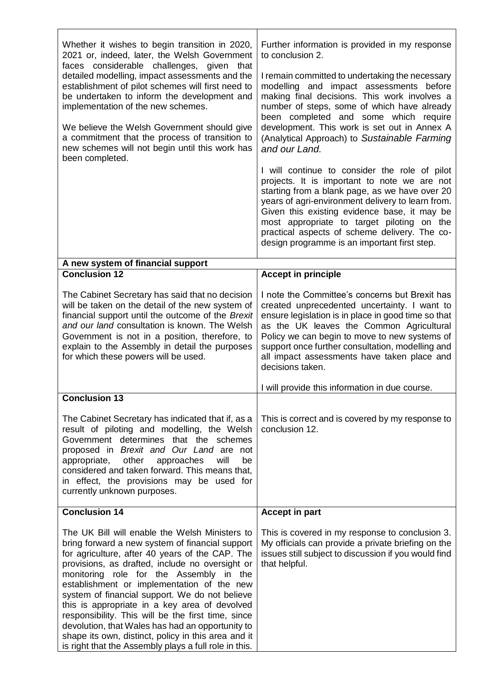| Whether it wishes to begin transition in 2020,<br>2021 or, indeed, later, the Welsh Government<br>faces considerable challenges, given<br>that<br>detailed modelling, impact assessments and the<br>establishment of pilot schemes will first need to<br>be undertaken to inform the development and<br>implementation of the new schemes.<br>We believe the Welsh Government should give<br>a commitment that the process of transition to<br>new schemes will not begin until this work has<br>been completed.                                                                                                              | Further information is provided in my response<br>to conclusion 2.<br>I remain committed to undertaking the necessary<br>modelling and impact assessments before<br>making final decisions. This work involves a<br>number of steps, some of which have already<br>been completed and some which require<br>development. This work is set out in Annex A<br>(Analytical Approach) to Sustainable Farming<br>and our Land.<br>I will continue to consider the role of pilot<br>projects. It is important to note we are not<br>starting from a blank page, as we have over 20<br>years of agri-environment delivery to learn from.<br>Given this existing evidence base, it may be<br>most appropriate to target piloting on the<br>practical aspects of scheme delivery. The co-<br>design programme is an important first step. |
|-------------------------------------------------------------------------------------------------------------------------------------------------------------------------------------------------------------------------------------------------------------------------------------------------------------------------------------------------------------------------------------------------------------------------------------------------------------------------------------------------------------------------------------------------------------------------------------------------------------------------------|----------------------------------------------------------------------------------------------------------------------------------------------------------------------------------------------------------------------------------------------------------------------------------------------------------------------------------------------------------------------------------------------------------------------------------------------------------------------------------------------------------------------------------------------------------------------------------------------------------------------------------------------------------------------------------------------------------------------------------------------------------------------------------------------------------------------------------|
| A new system of financial support                                                                                                                                                                                                                                                                                                                                                                                                                                                                                                                                                                                             |                                                                                                                                                                                                                                                                                                                                                                                                                                                                                                                                                                                                                                                                                                                                                                                                                                  |
| <b>Conclusion 12</b>                                                                                                                                                                                                                                                                                                                                                                                                                                                                                                                                                                                                          | <b>Accept in principle</b>                                                                                                                                                                                                                                                                                                                                                                                                                                                                                                                                                                                                                                                                                                                                                                                                       |
| The Cabinet Secretary has said that no decision<br>will be taken on the detail of the new system of<br>financial support until the outcome of the Brexit<br>and our land consultation is known. The Welsh<br>Government is not in a position, therefore, to<br>explain to the Assembly in detail the purposes<br>for which these powers will be used.                                                                                                                                                                                                                                                                         | I note the Committee's concerns but Brexit has<br>created unprecedented uncertainty. I want to<br>ensure legislation is in place in good time so that<br>as the UK leaves the Common Agricultural<br>Policy we can begin to move to new systems of<br>support once further consultation, modelling and<br>all impact assessments have taken place and<br>decisions taken.                                                                                                                                                                                                                                                                                                                                                                                                                                                        |
| <b>Conclusion 13</b>                                                                                                                                                                                                                                                                                                                                                                                                                                                                                                                                                                                                          | I will provide this information in due course.                                                                                                                                                                                                                                                                                                                                                                                                                                                                                                                                                                                                                                                                                                                                                                                   |
| The Cabinet Secretary has indicated that if, as a<br>result of piloting and modelling, the Welsh<br>Government determines that the schemes<br>proposed in Brexit and Our Land are not<br>other<br>will<br>appropriate,<br>approaches<br>be<br>considered and taken forward. This means that,<br>in effect, the provisions may be used for<br>currently unknown purposes.                                                                                                                                                                                                                                                      | This is correct and is covered by my response to<br>conclusion 12.                                                                                                                                                                                                                                                                                                                                                                                                                                                                                                                                                                                                                                                                                                                                                               |
| <b>Conclusion 14</b>                                                                                                                                                                                                                                                                                                                                                                                                                                                                                                                                                                                                          | <b>Accept in part</b>                                                                                                                                                                                                                                                                                                                                                                                                                                                                                                                                                                                                                                                                                                                                                                                                            |
| The UK Bill will enable the Welsh Ministers to<br>bring forward a new system of financial support<br>for agriculture, after 40 years of the CAP. The<br>provisions, as drafted, include no oversight or<br>monitoring role for the Assembly in the<br>establishment or implementation of the new<br>system of financial support. We do not believe<br>this is appropriate in a key area of devolved<br>responsibility. This will be the first time, since<br>devolution, that Wales has had an opportunity to<br>shape its own, distinct, policy in this area and it<br>is right that the Assembly plays a full role in this. | This is covered in my response to conclusion 3.<br>My officials can provide a private briefing on the<br>issues still subject to discussion if you would find<br>that helpful.                                                                                                                                                                                                                                                                                                                                                                                                                                                                                                                                                                                                                                                   |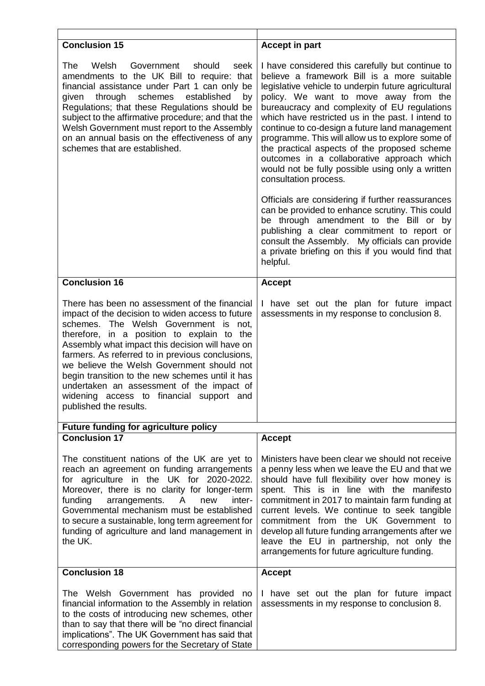| <b>Conclusion 15</b>                                                                                                                                                                                                                                                                                                                                                                                                                                                                                                 | <b>Accept in part</b>                                                                                                                                                                                                                                                                                                                                                                                                                                                                                                                                                                                                                                                                                                                                                                                                                                                                                    |
|----------------------------------------------------------------------------------------------------------------------------------------------------------------------------------------------------------------------------------------------------------------------------------------------------------------------------------------------------------------------------------------------------------------------------------------------------------------------------------------------------------------------|----------------------------------------------------------------------------------------------------------------------------------------------------------------------------------------------------------------------------------------------------------------------------------------------------------------------------------------------------------------------------------------------------------------------------------------------------------------------------------------------------------------------------------------------------------------------------------------------------------------------------------------------------------------------------------------------------------------------------------------------------------------------------------------------------------------------------------------------------------------------------------------------------------|
| The<br>Government<br>should<br>Welsh<br>seek<br>amendments to the UK Bill to require: that<br>financial assistance under Part 1 can only be<br>through<br>schemes<br>established<br>given<br>by<br>Regulations; that these Regulations should be<br>subject to the affirmative procedure; and that the<br>Welsh Government must report to the Assembly<br>on an annual basis on the effectiveness of any<br>schemes that are established.                                                                            | I have considered this carefully but continue to<br>believe a framework Bill is a more suitable<br>legislative vehicle to underpin future agricultural<br>policy. We want to move away from the<br>bureaucracy and complexity of EU regulations<br>which have restricted us in the past. I intend to<br>continue to co-design a future land management<br>programme. This will allow us to explore some of<br>the practical aspects of the proposed scheme<br>outcomes in a collaborative approach which<br>would not be fully possible using only a written<br>consultation process.<br>Officials are considering if further reassurances<br>can be provided to enhance scrutiny. This could<br>be through amendment to the Bill or by<br>publishing a clear commitment to report or<br>consult the Assembly. My officials can provide<br>a private briefing on this if you would find that<br>helpful. |
| <b>Conclusion 16</b>                                                                                                                                                                                                                                                                                                                                                                                                                                                                                                 | <b>Accept</b>                                                                                                                                                                                                                                                                                                                                                                                                                                                                                                                                                                                                                                                                                                                                                                                                                                                                                            |
| There has been no assessment of the financial<br>impact of the decision to widen access to future<br>schemes. The Welsh Government is not,<br>therefore, in a position to explain to the<br>Assembly what impact this decision will have on<br>farmers. As referred to in previous conclusions,<br>we believe the Welsh Government should not<br>begin transition to the new schemes until it has<br>undertaken an assessment of the impact of<br>widening access to financial support and<br>published the results. | I have set out the plan for future impact<br>assessments in my response to conclusion 8.                                                                                                                                                                                                                                                                                                                                                                                                                                                                                                                                                                                                                                                                                                                                                                                                                 |
| <b>Future funding for agriculture policy</b>                                                                                                                                                                                                                                                                                                                                                                                                                                                                         |                                                                                                                                                                                                                                                                                                                                                                                                                                                                                                                                                                                                                                                                                                                                                                                                                                                                                                          |
| <b>Conclusion 17</b>                                                                                                                                                                                                                                                                                                                                                                                                                                                                                                 | <b>Accept</b>                                                                                                                                                                                                                                                                                                                                                                                                                                                                                                                                                                                                                                                                                                                                                                                                                                                                                            |
| The constituent nations of the UK are yet to<br>reach an agreement on funding arrangements<br>for agriculture in the UK for 2020-2022.<br>Moreover, there is no clarity for longer-term<br>funding<br>arrangements.<br>$\mathsf{A}$<br>new<br>inter-<br>Governmental mechanism must be established<br>to secure a sustainable, long term agreement for<br>funding of agriculture and land management in<br>the UK.                                                                                                   | Ministers have been clear we should not receive<br>a penny less when we leave the EU and that we<br>should have full flexibility over how money is<br>spent. This is in line with the manifesto<br>commitment in 2017 to maintain farm funding at<br>current levels. We continue to seek tangible<br>commitment from the UK Government to<br>develop all future funding arrangements after we<br>leave the EU in partnership, not only the<br>arrangements for future agriculture funding.                                                                                                                                                                                                                                                                                                                                                                                                               |
| <b>Conclusion 18</b>                                                                                                                                                                                                                                                                                                                                                                                                                                                                                                 | <b>Accept</b>                                                                                                                                                                                                                                                                                                                                                                                                                                                                                                                                                                                                                                                                                                                                                                                                                                                                                            |
| The Welsh Government has provided no<br>financial information to the Assembly in relation<br>to the costs of introducing new schemes, other<br>than to say that there will be "no direct financial<br>implications". The UK Government has said that<br>corresponding powers for the Secretary of State                                                                                                                                                                                                              | I have set out the plan for future impact<br>assessments in my response to conclusion 8.                                                                                                                                                                                                                                                                                                                                                                                                                                                                                                                                                                                                                                                                                                                                                                                                                 |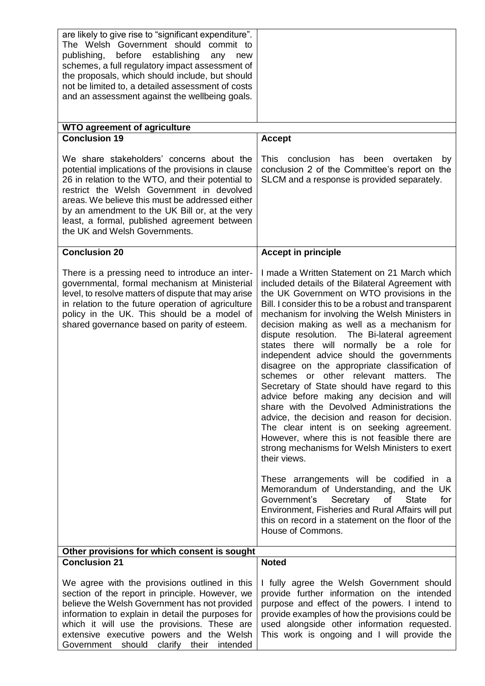| are likely to give rise to "significant expenditure".<br>The Welsh Government should commit to<br>before establishing<br>publishing,<br>any<br>new<br>schemes, a full regulatory impact assessment of<br>the proposals, which should include, but should<br>not be limited to, a detailed assessment of costs<br>and an assessment against the wellbeing goals.                         |                                                                                                                                                                                                                                                                                                                                                                                                                                                                                                                                                                                                                                                                                                                                                                                                                                                                                                                                                                                                                                                                                                                                                                                                |
|-----------------------------------------------------------------------------------------------------------------------------------------------------------------------------------------------------------------------------------------------------------------------------------------------------------------------------------------------------------------------------------------|------------------------------------------------------------------------------------------------------------------------------------------------------------------------------------------------------------------------------------------------------------------------------------------------------------------------------------------------------------------------------------------------------------------------------------------------------------------------------------------------------------------------------------------------------------------------------------------------------------------------------------------------------------------------------------------------------------------------------------------------------------------------------------------------------------------------------------------------------------------------------------------------------------------------------------------------------------------------------------------------------------------------------------------------------------------------------------------------------------------------------------------------------------------------------------------------|
| <b>WTO agreement of agriculture</b><br><b>Conclusion 19</b>                                                                                                                                                                                                                                                                                                                             |                                                                                                                                                                                                                                                                                                                                                                                                                                                                                                                                                                                                                                                                                                                                                                                                                                                                                                                                                                                                                                                                                                                                                                                                |
| We share stakeholders' concerns about the<br>potential implications of the provisions in clause<br>26 in relation to the WTO, and their potential to<br>restrict the Welsh Government in devolved<br>areas. We believe this must be addressed either<br>by an amendment to the UK Bill or, at the very<br>least, a formal, published agreement between<br>the UK and Welsh Governments. | <b>Accept</b><br>conclusion<br>This<br>has<br>been<br>overtaken<br>by<br>conclusion 2 of the Committee's report on the<br>SLCM and a response is provided separately.                                                                                                                                                                                                                                                                                                                                                                                                                                                                                                                                                                                                                                                                                                                                                                                                                                                                                                                                                                                                                          |
| <b>Conclusion 20</b>                                                                                                                                                                                                                                                                                                                                                                    | <b>Accept in principle</b>                                                                                                                                                                                                                                                                                                                                                                                                                                                                                                                                                                                                                                                                                                                                                                                                                                                                                                                                                                                                                                                                                                                                                                     |
| There is a pressing need to introduce an inter-<br>governmental, formal mechanism at Ministerial<br>level, to resolve matters of dispute that may arise<br>in relation to the future operation of agriculture<br>policy in the UK. This should be a model of<br>shared governance based on parity of esteem.                                                                            | I made a Written Statement on 21 March which<br>included details of the Bilateral Agreement with<br>the UK Government on WTO provisions in the<br>Bill. I consider this to be a robust and transparent<br>mechanism for involving the Welsh Ministers in<br>decision making as well as a mechanism for<br>dispute resolution. The Bi-lateral agreement<br>states there will normally be a role for<br>independent advice should the governments<br>disagree on the appropriate classification of<br>schemes or other relevant matters.<br>- The<br>Secretary of State should have regard to this<br>advice before making any decision and will<br>share with the Devolved Administrations the<br>advice, the decision and reason for decision.<br>The clear intent is on seeking agreement.<br>However, where this is not feasible there are<br>strong mechanisms for Welsh Ministers to exert<br>their views.<br>These arrangements will be codified in a<br>Memorandum of Understanding, and the UK<br>Government's<br>Secretary<br><b>State</b><br>for<br>of<br>Environment, Fisheries and Rural Affairs will put<br>this on record in a statement on the floor of the<br>House of Commons. |
| Other provisions for which consent is sought<br><b>Conclusion 21</b>                                                                                                                                                                                                                                                                                                                    | <b>Noted</b>                                                                                                                                                                                                                                                                                                                                                                                                                                                                                                                                                                                                                                                                                                                                                                                                                                                                                                                                                                                                                                                                                                                                                                                   |
| We agree with the provisions outlined in this<br>section of the report in principle. However, we<br>believe the Welsh Government has not provided<br>information to explain in detail the purposes for<br>which it will use the provisions. These are<br>extensive executive powers and the Welsh<br>Government should clarify their intended                                           | I fully agree the Welsh Government should<br>provide further information on the intended<br>purpose and effect of the powers. I intend to<br>provide examples of how the provisions could be<br>used alongside other information requested.<br>This work is ongoing and I will provide the                                                                                                                                                                                                                                                                                                                                                                                                                                                                                                                                                                                                                                                                                                                                                                                                                                                                                                     |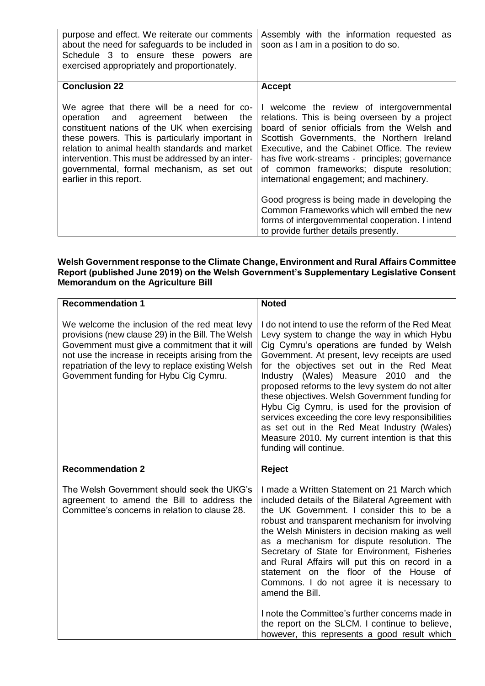| purpose and effect. We reiterate our comments<br>about the need for safeguards to be included in<br>Schedule 3 to ensure these powers are<br>exercised appropriately and proportionately.                                                                                                                                                                                | Assembly with the information requested as<br>soon as I am in a position to do so.                                                                                                                                                                                                                                                                                                    |
|--------------------------------------------------------------------------------------------------------------------------------------------------------------------------------------------------------------------------------------------------------------------------------------------------------------------------------------------------------------------------|---------------------------------------------------------------------------------------------------------------------------------------------------------------------------------------------------------------------------------------------------------------------------------------------------------------------------------------------------------------------------------------|
| <b>Conclusion 22</b>                                                                                                                                                                                                                                                                                                                                                     | <b>Accept</b>                                                                                                                                                                                                                                                                                                                                                                         |
| We agree that there will be a need for co-<br>operation and agreement between<br>the<br>constituent nations of the UK when exercising<br>these powers. This is particularly important in<br>relation to animal health standards and market<br>intervention. This must be addressed by an inter-<br>governmental, formal mechanism, as set out<br>earlier in this report. | I welcome the review of intergovernmental<br>relations. This is being overseen by a project<br>board of senior officials from the Welsh and<br>Scottish Governments, the Northern Ireland<br>Executive, and the Cabinet Office. The review<br>has five work-streams - principles; governance<br>of common frameworks; dispute resolution;<br>international engagement; and machinery. |
|                                                                                                                                                                                                                                                                                                                                                                          | Good progress is being made in developing the<br>Common Frameworks which will embed the new<br>forms of intergovernmental cooperation. I intend<br>to provide further details presently.                                                                                                                                                                                              |

### **Welsh Government response to the Climate Change, Environment and Rural Affairs Committee Report (published June 2019) on the Welsh Government's Supplementary Legislative Consent Memorandum on the Agriculture Bill**

| <b>Recommendation 1</b>                                                                                                                                                                                                                                                                                   | <b>Noted</b>                                                                                                                                                                                                                                                                                                                                                                                                                                                                                                                                                                                                                   |
|-----------------------------------------------------------------------------------------------------------------------------------------------------------------------------------------------------------------------------------------------------------------------------------------------------------|--------------------------------------------------------------------------------------------------------------------------------------------------------------------------------------------------------------------------------------------------------------------------------------------------------------------------------------------------------------------------------------------------------------------------------------------------------------------------------------------------------------------------------------------------------------------------------------------------------------------------------|
| We welcome the inclusion of the red meat levy<br>provisions (new clause 29) in the Bill. The Welsh<br>Government must give a commitment that it will<br>not use the increase in receipts arising from the<br>repatriation of the levy to replace existing Welsh<br>Government funding for Hybu Cig Cymru. | I do not intend to use the reform of the Red Meat<br>Levy system to change the way in which Hybu<br>Cig Cymru's operations are funded by Welsh<br>Government. At present, levy receipts are used<br>for the objectives set out in the Red Meat<br>Industry (Wales) Measure 2010 and the<br>proposed reforms to the levy system do not alter<br>these objectives. Welsh Government funding for<br>Hybu Cig Cymru, is used for the provision of<br>services exceeding the core levy responsibilities<br>as set out in the Red Meat Industry (Wales)<br>Measure 2010. My current intention is that this<br>funding will continue. |
| <b>Recommendation 2</b>                                                                                                                                                                                                                                                                                   | Reject                                                                                                                                                                                                                                                                                                                                                                                                                                                                                                                                                                                                                         |
| The Welsh Government should seek the UKG's<br>agreement to amend the Bill to address the<br>Committee's concerns in relation to clause 28.                                                                                                                                                                | I made a Written Statement on 21 March which<br>included details of the Bilateral Agreement with<br>the UK Government. I consider this to be a<br>robust and transparent mechanism for involving<br>the Welsh Ministers in decision making as well<br>as a mechanism for dispute resolution. The<br>Secretary of State for Environment, Fisheries<br>and Rural Affairs will put this on record in a<br>statement on the floor of the House of<br>Commons. I do not agree it is necessary to<br>amend the Bill.                                                                                                                 |
|                                                                                                                                                                                                                                                                                                           | I note the Committee's further concerns made in<br>the report on the SLCM. I continue to believe,<br>however, this represents a good result which                                                                                                                                                                                                                                                                                                                                                                                                                                                                              |